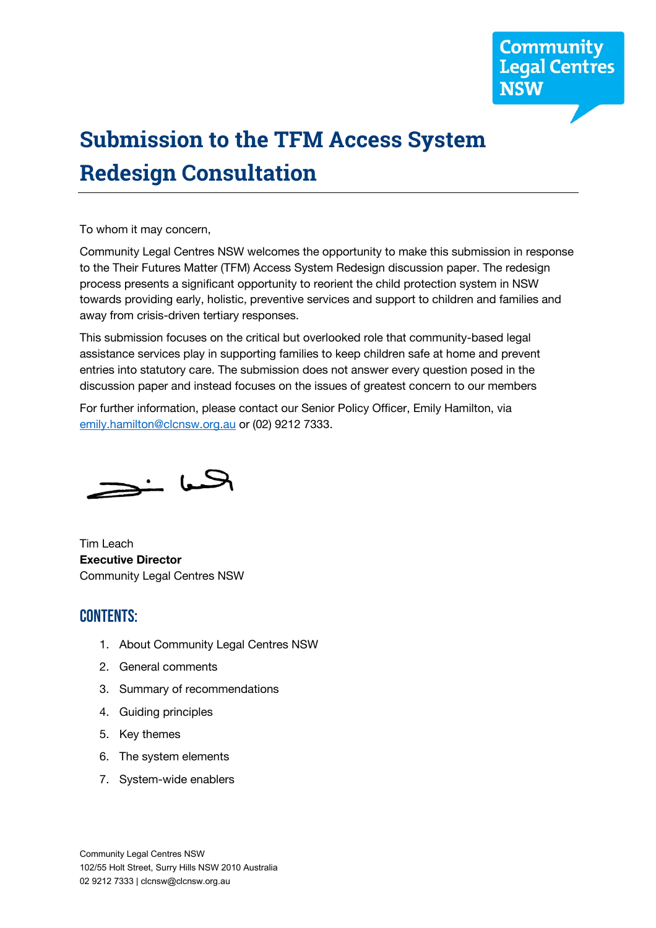

# **Submission to the TFM Access System Redesign Consultation**

To whom it may concern,

Community Legal Centres NSW welcomes the opportunity to make this submission in response to the Their Futures Matter (TFM) Access System Redesign discussion paper. The redesign process presents a significant opportunity to reorient the child protection system in NSW towards providing early, holistic, preventive services and support to children and families and away from crisis-driven tertiary responses.

This submission focuses on the critical but overlooked role that community-based legal assistance services play in supporting families to keep children safe at home and prevent entries into statutory care. The submission does not answer every question posed in the discussion paper and instead focuses on the issues of greatest concern to our members

For further information, please contact our Senior Policy Officer, Emily Hamilton, via emily.hamilton@clcnsw.org.au or (02) 9212 7333.

الحسا خڪ

Tim Leach **Executive Director** Community Legal Centres NSW

#### CONTENTS:

- 1. About Community Legal Centres NSW
- 2. General comments
- 3. Summary of recommendations
- 4. Guiding principles
- 5. Key themes
- 6. The system elements
- 7. System-wide enablers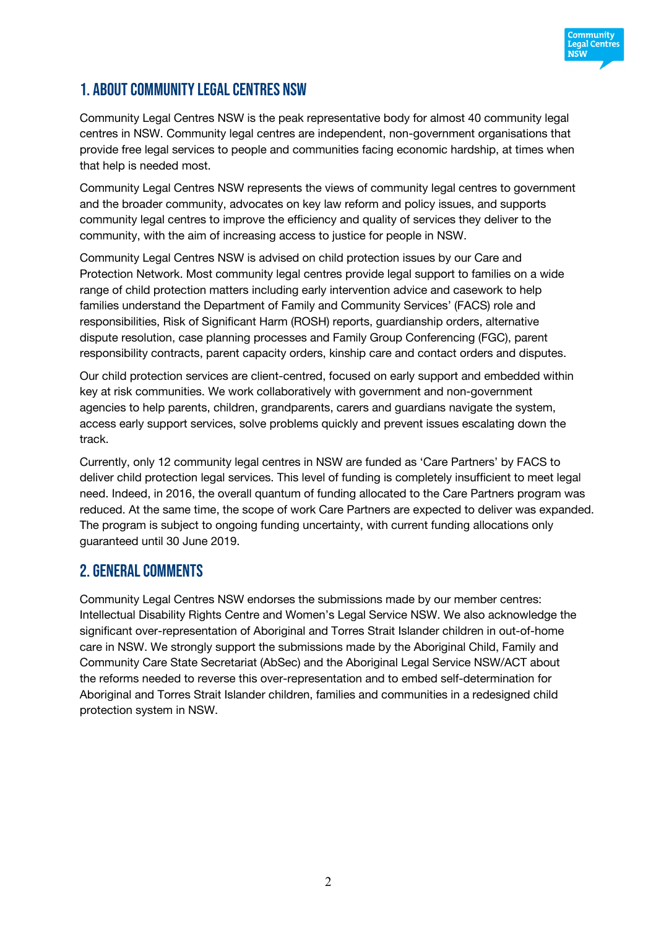

# 1. About Community Legal Centres NSW

Community Legal Centres NSW is the peak representative body for almost 40 community legal centres in NSW. Community legal centres are independent, non-government organisations that provide free legal services to people and communities facing economic hardship, at times when that help is needed most.

Community Legal Centres NSW represents the views of community legal centres to government and the broader community, advocates on key law reform and policy issues, and supports community legal centres to improve the efficiency and quality of services they deliver to the community, with the aim of increasing access to justice for people in NSW.

Community Legal Centres NSW is advised on child protection issues by our Care and Protection Network. Most community legal centres provide legal support to families on a wide range of child protection matters including early intervention advice and casework to help families understand the Department of Family and Community Services' (FACS) role and responsibilities, Risk of Significant Harm (ROSH) reports, guardianship orders, alternative dispute resolution, case planning processes and Family Group Conferencing (FGC), parent responsibility contracts, parent capacity orders, kinship care and contact orders and disputes.

Our child protection services are client-centred, focused on early support and embedded within key at risk communities. We work collaboratively with government and non-government agencies to help parents, children, grandparents, carers and guardians navigate the system, access early support services, solve problems quickly and prevent issues escalating down the track.

Currently, only 12 community legal centres in NSW are funded as 'Care Partners' by FACS to deliver child protection legal services. This level of funding is completely insufficient to meet legal need. Indeed, in 2016, the overall quantum of funding allocated to the Care Partners program was reduced. At the same time, the scope of work Care Partners are expected to deliver was expanded. The program is subject to ongoing funding uncertainty, with current funding allocations only guaranteed until 30 June 2019.

# 2. General Comments

Community Legal Centres NSW endorses the submissions made by our member centres: Intellectual Disability Rights Centre and Women's Legal Service NSW. We also acknowledge the significant over-representation of Aboriginal and Torres Strait Islander children in out-of-home care in NSW. We strongly support the submissions made by the Aboriginal Child, Family and Community Care State Secretariat (AbSec) and the Aboriginal Legal Service NSW/ACT about the reforms needed to reverse this over-representation and to embed self-determination for Aboriginal and Torres Strait Islander children, families and communities in a redesigned child protection system in NSW.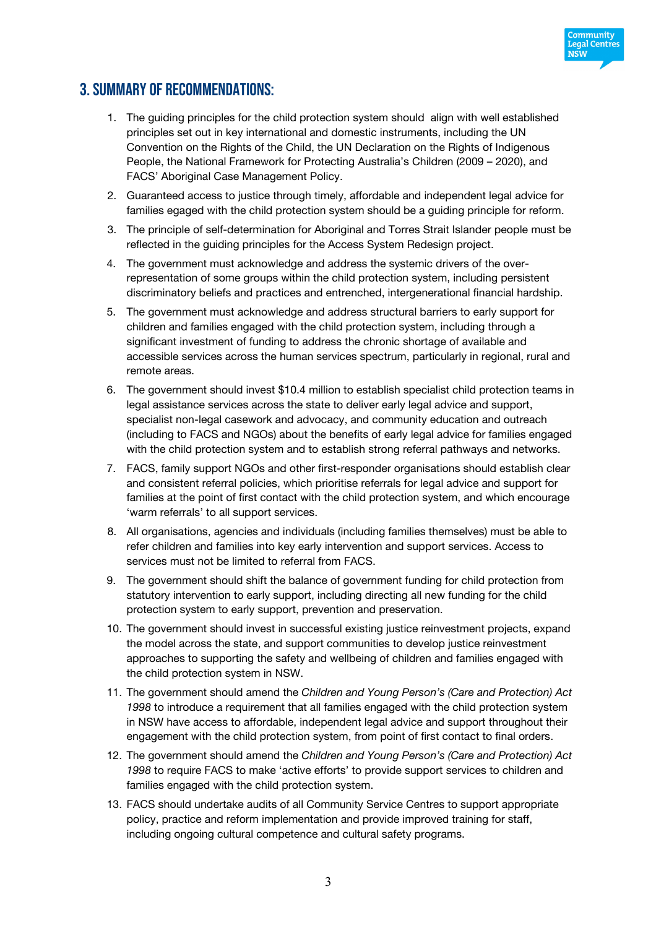

# 3. Summary of recommendations:

- 1. The guiding principles for the child protection system should align with well established principles set out in key international and domestic instruments, including the UN Convention on the Rights of the Child, the UN Declaration on the Rights of Indigenous People, the National Framework for Protecting Australia's Children (2009 – 2020), and FACS' Aboriginal Case Management Policy.
- 2. Guaranteed access to justice through timely, affordable and independent legal advice for families egaged with the child protection system should be a guiding principle for reform.
- 3. The principle of self-determination for Aboriginal and Torres Strait Islander people must be reflected in the guiding principles for the Access System Redesign project.
- 4. The government must acknowledge and address the systemic drivers of the overrepresentation of some groups within the child protection system, including persistent discriminatory beliefs and practices and entrenched, intergenerational financial hardship.
- 5. The government must acknowledge and address structural barriers to early support for children and families engaged with the child protection system, including through a significant investment of funding to address the chronic shortage of available and accessible services across the human services spectrum, particularly in regional, rural and remote areas.
- 6. The government should invest \$10.4 million to establish specialist child protection teams in legal assistance services across the state to deliver early legal advice and support, specialist non-legal casework and advocacy, and community education and outreach (including to FACS and NGOs) about the benefits of early legal advice for families engaged with the child protection system and to establish strong referral pathways and networks.
- 7. FACS, family support NGOs and other first-responder organisations should establish clear and consistent referral policies, which prioritise referrals for legal advice and support for families at the point of first contact with the child protection system, and which encourage 'warm referrals' to all support services.
- 8. All organisations, agencies and individuals (including families themselves) must be able to refer children and families into key early intervention and support services. Access to services must not be limited to referral from FACS.
- 9. The government should shift the balance of government funding for child protection from statutory intervention to early support, including directing all new funding for the child protection system to early support, prevention and preservation.
- 10. The government should invest in successful existing justice reinvestment projects, expand the model across the state, and support communities to develop justice reinvestment approaches to supporting the safety and wellbeing of children and families engaged with the child protection system in NSW.
- 11. The government should amend the *Children and Young Person's (Care and Protection) Act 1998* to introduce a requirement that all families engaged with the child protection system in NSW have access to affordable, independent legal advice and support throughout their engagement with the child protection system, from point of first contact to final orders.
- 12. The government should amend the *Children and Young Person's (Care and Protection) Act 1998* to require FACS to make 'active efforts' to provide support services to children and families engaged with the child protection system.
- 13. FACS should undertake audits of all Community Service Centres to support appropriate policy, practice and reform implementation and provide improved training for staff, including ongoing cultural competence and cultural safety programs.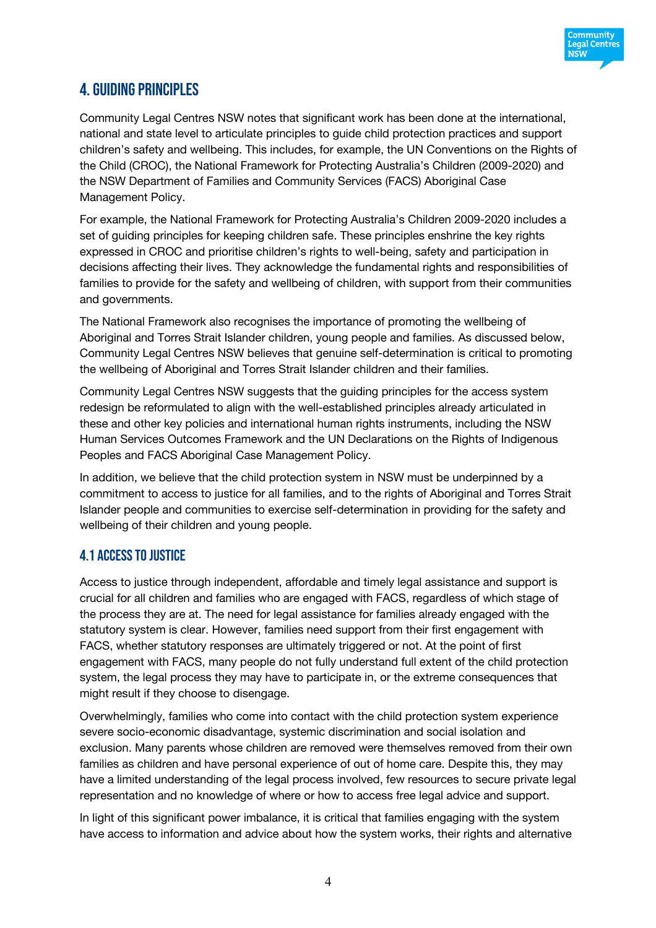

# 4.Guiding principles

Community Legal Centres NSW notes that significant work has been done at the international, national and state level to articulate principles to guide child protection practices and support children's safety and wellbeing. This includes, for example, the UN Conventions on the Rights of the Child (CROC), the National Framework for Protecting Australia's Children (2009-2020) and the NSW Department of Families and Community Services (FACS) Aboriginal Case Management Policy.

For example, the National Framework for Protecting Australia's Children 2009-2020 includes a set of guiding principles for keeping children safe. These principles enshrine the key rights expressed in CROC and prioritise children's rights to well-being, safety and participation in decisions affecting their lives. They acknowledge the fundamental rights and responsibilities of families to provide for the safety and wellbeing of children, with support from their communities and governments.

The National Framework also recognises the importance of promoting the wellbeing of Aboriginal and Torres Strait Islander children, young people and families. As discussed below, Community Legal Centres NSW believes that genuine self-determination is critical to promoting the wellbeing of Aboriginal and Torres Strait Islander children and their families.

Community Legal Centres NSW suggests that the guiding principles for the access system redesign be reformulated to align with the well-established principles already articulated in these and other key policies and international human rights instruments, including the NSW Human Services Outcomes Framework and the UN Declarations on the Rights of Indigenous Peoples and FACS Aboriginal Case Management Policy.

In addition, we believe that the child protection system in NSW must be underpinned by a commitment to access to justice for all families, and to the rights of Aboriginal and Torres Strait Islander people and communities to exercise self-determination in providing for the safety and wellbeing of their children and young people.

# 4.1 Access to justice

Access to justice through independent, affordable and timely legal assistance and support is crucial for all children and families who are engaged with FACS, regardless of which stage of the process they are at. The need for legal assistance for families already engaged with the statutory system is clear. However, families need support from their first engagement with FACS, whether statutory responses are ultimately triggered or not. At the point of first engagement with FACS, many people do not fully understand full extent of the child protection system, the legal process they may have to participate in, or the extreme consequences that might result if they choose to disengage.

Overwhelmingly, families who come into contact with the child protection system experience severe socio-economic disadvantage, systemic discrimination and social isolation and exclusion. Many parents whose children are removed were themselves removed from their own families as children and have personal experience of out of home care. Despite this, they may have a limited understanding of the legal process involved, few resources to secure private legal representation and no knowledge of where or how to access free legal advice and support.

In light of this significant power imbalance, it is critical that families engaging with the system have access to information and advice about how the system works, their rights and alternative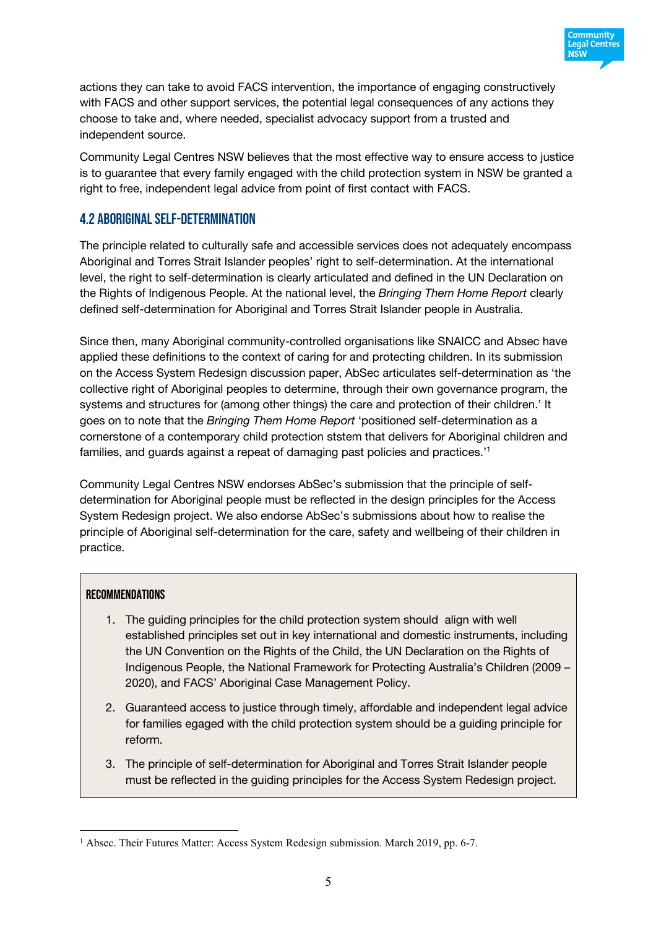

actions they can take to avoid FACS intervention, the importance of engaging constructively with FACS and other support services, the potential legal consequences of any actions they choose to take and, where needed, specialist advocacy support from a trusted and independent source.

Community Legal Centres NSW believes that the most effective way to ensure access to justice is to guarantee that every family engaged with the child protection system in NSW be granted a right to free, independent legal advice from point of first contact with FACS.

### 4.2 Aboriginal self-determination

The principle related to culturally safe and accessible services does not adequately encompass Aboriginal and Torres Strait Islander peoples' right to self-determination. At the international level, the right to self-determination is clearly articulated and defined in the UN Declaration on the Rights of Indigenous People. At the national level, the *Bringing Them Home Report* clearly defined self-determination for Aboriginal and Torres Strait Islander people in Australia.

Since then, many Aboriginal community-controlled organisations like SNAICC and Absec have applied these definitions to the context of caring for and protecting children. In its submission on the Access System Redesign discussion paper, AbSec articulates self-determination as 'the collective right of Aboriginal peoples to determine, through their own governance program, the systems and structures for (among other things) the care and protection of their children.' It goes on to note that the *Bringing Them Home Report* 'positioned self-determination as a cornerstone of a contemporary child protection ststem that delivers for Aboriginal children and families, and guards against a repeat of damaging past policies and practices.'1

Community Legal Centres NSW endorses AbSec's submission that the principle of selfdetermination for Aboriginal people must be reflected in the design principles for the Access System Redesign project. We also endorse AbSec's submissions about how to realise the principle of Aboriginal self-determination for the care, safety and wellbeing of their children in practice.

#### Recommendations

- 1. The guiding principles for the child protection system should align with well established principles set out in key international and domestic instruments, including the UN Convention on the Rights of the Child, the UN Declaration on the Rights of Indigenous People, the National Framework for Protecting Australia's Children (2009 – 2020), and FACS' Aboriginal Case Management Policy.
- 2. Guaranteed access to justice through timely, affordable and independent legal advice for families egaged with the child protection system should be a guiding principle for reform.
- 3. The principle of self-determination for Aboriginal and Torres Strait Islander people must be reflected in the guiding principles for the Access System Redesign project.

<sup>&</sup>lt;sup>1</sup> Absec. Their Futures Matter: Access System Redesign submission. March 2019, pp. 6-7.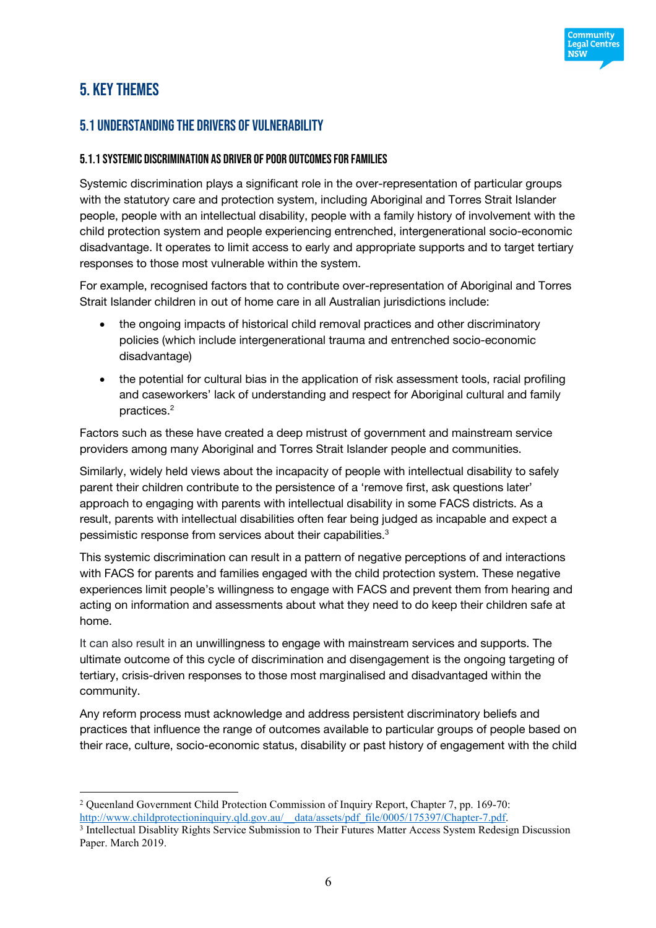

# 5. Key Themes

# 5.1 Understanding the drivers of vulnerability

#### 5.1.1 Systemic discrimination as driver of poor outcomes for families

Systemic discrimination plays a significant role in the over-representation of particular groups with the statutory care and protection system, including Aboriginal and Torres Strait Islander people, people with an intellectual disability, people with a family history of involvement with the child protection system and people experiencing entrenched, intergenerational socio-economic disadvantage. It operates to limit access to early and appropriate supports and to target tertiary responses to those most vulnerable within the system.

For example, recognised factors that to contribute over-representation of Aboriginal and Torres Strait Islander children in out of home care in all Australian jurisdictions include:

- the ongoing impacts of historical child removal practices and other discriminatory policies (which include intergenerational trauma and entrenched socio-economic disadvantage)
- the potential for cultural bias in the application of risk assessment tools, racial profiling and caseworkers' lack of understanding and respect for Aboriginal cultural and family practices. 2

Factors such as these have created a deep mistrust of government and mainstream service providers among many Aboriginal and Torres Strait Islander people and communities.

Similarly, widely held views about the incapacity of people with intellectual disability to safely parent their children contribute to the persistence of a 'remove first, ask questions later' approach to engaging with parents with intellectual disability in some FACS districts. As a result, parents with intellectual disabilities often fear being judged as incapable and expect a pessimistic response from services about their capabilities.3

This systemic discrimination can result in a pattern of negative perceptions of and interactions with FACS for parents and families engaged with the child protection system. These negative experiences limit people's willingness to engage with FACS and prevent them from hearing and acting on information and assessments about what they need to do keep their children safe at home.

It can also result in an unwillingness to engage with mainstream services and supports. The ultimate outcome of this cycle of discrimination and disengagement is the ongoing targeting of tertiary, crisis-driven responses to those most marginalised and disadvantaged within the community.

Any reform process must acknowledge and address persistent discriminatory beliefs and practices that influence the range of outcomes available to particular groups of people based on their race, culture, socio-economic status, disability or past history of engagement with the child

 <sup>2</sup> Queenland Government Child Protection Commission of Inquiry Report, Chapter 7, pp. 169-70: http://www.childprotectioninquiry.qld.gov.au/\_\_data/assets/pdf\_file/0005/175397/Chapter-7.pdf.

<sup>3</sup> Intellectual Disablity Rights Service Submission to Their Futures Matter Access System Redesign Discussion Paper. March 2019.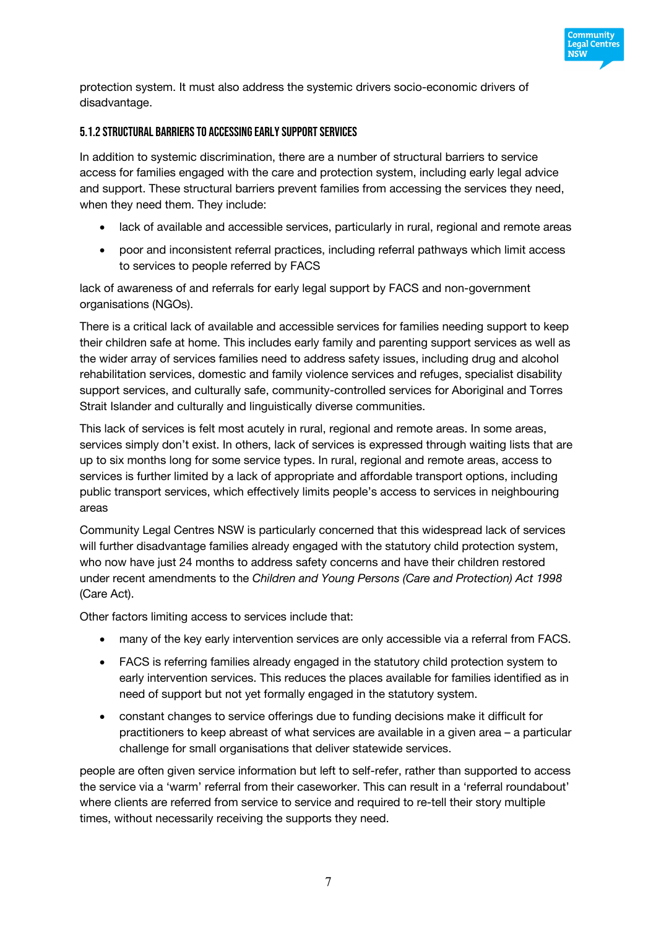

protection system. It must also address the systemic drivers socio-economic drivers of disadvantage.

#### 5.1.2 Structural barriers to accessing early supportservices

In addition to systemic discrimination, there are a number of structural barriers to service access for families engaged with the care and protection system, including early legal advice and support. These structural barriers prevent families from accessing the services they need, when they need them. They include:

- lack of available and accessible services, particularly in rural, regional and remote areas
- poor and inconsistent referral practices, including referral pathways which limit access to services to people referred by FACS

lack of awareness of and referrals for early legal support by FACS and non-government organisations (NGOs).

There is a critical lack of available and accessible services for families needing support to keep their children safe at home. This includes early family and parenting support services as well as the wider array of services families need to address safety issues, including drug and alcohol rehabilitation services, domestic and family violence services and refuges, specialist disability support services, and culturally safe, community-controlled services for Aboriginal and Torres Strait Islander and culturally and linguistically diverse communities.

This lack of services is felt most acutely in rural, regional and remote areas. In some areas, services simply don't exist. In others, lack of services is expressed through waiting lists that are up to six months long for some service types. In rural, regional and remote areas, access to services is further limited by a lack of appropriate and affordable transport options, including public transport services, which effectively limits people's access to services in neighbouring areas

Community Legal Centres NSW is particularly concerned that this widespread lack of services will further disadvantage families already engaged with the statutory child protection system, who now have just 24 months to address safety concerns and have their children restored under recent amendments to the *Children and Young Persons (Care and Protection) Act 1998* (Care Act).

Other factors limiting access to services include that:

- many of the key early intervention services are only accessible via a referral from FACS.
- FACS is referring families already engaged in the statutory child protection system to early intervention services. This reduces the places available for families identified as in need of support but not yet formally engaged in the statutory system.
- constant changes to service offerings due to funding decisions make it difficult for practitioners to keep abreast of what services are available in a given area – a particular challenge for small organisations that deliver statewide services.

people are often given service information but left to self-refer, rather than supported to access the service via a 'warm' referral from their caseworker. This can result in a 'referral roundabout' where clients are referred from service to service and required to re-tell their story multiple times, without necessarily receiving the supports they need.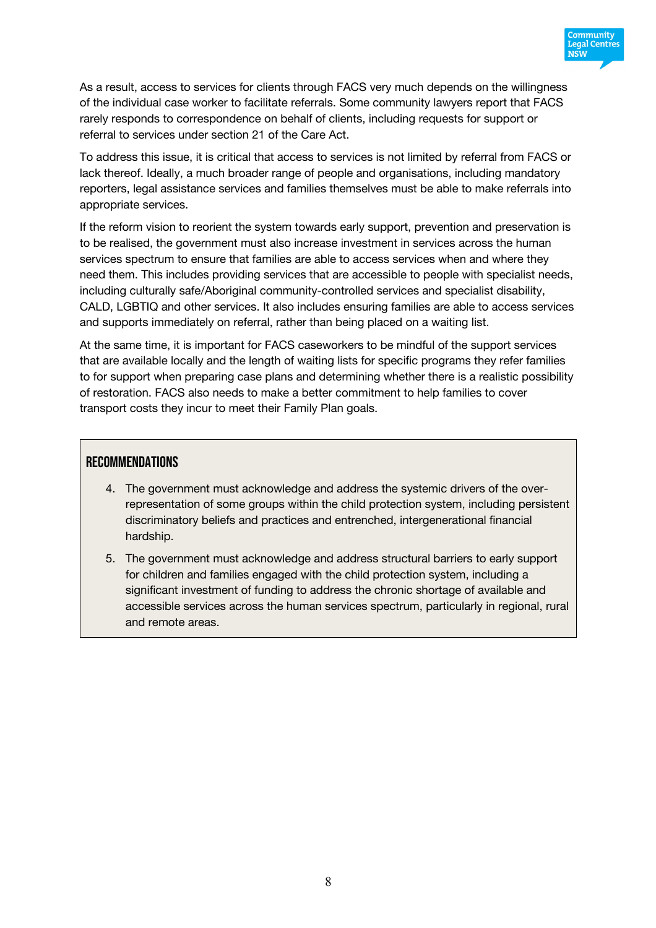

As a result, access to services for clients through FACS very much depends on the willingness of the individual case worker to facilitate referrals. Some community lawyers report that FACS rarely responds to correspondence on behalf of clients, including requests for support or referral to services under section 21 of the Care Act.

To address this issue, it is critical that access to services is not limited by referral from FACS or lack thereof. Ideally, a much broader range of people and organisations, including mandatory reporters, legal assistance services and families themselves must be able to make referrals into appropriate services.

If the reform vision to reorient the system towards early support, prevention and preservation is to be realised, the government must also increase investment in services across the human services spectrum to ensure that families are able to access services when and where they need them. This includes providing services that are accessible to people with specialist needs, including culturally safe/Aboriginal community-controlled services and specialist disability, CALD, LGBTIQ and other services. It also includes ensuring families are able to access services and supports immediately on referral, rather than being placed on a waiting list.

At the same time, it is important for FACS caseworkers to be mindful of the support services that are available locally and the length of waiting lists for specific programs they refer families to for support when preparing case plans and determining whether there is a realistic possibility of restoration. FACS also needs to make a better commitment to help families to cover transport costs they incur to meet their Family Plan goals.

#### **RECOMMENDATIONS**

- 4. The government must acknowledge and address the systemic drivers of the overrepresentation of some groups within the child protection system, including persistent discriminatory beliefs and practices and entrenched, intergenerational financial hardship.
- 5. The government must acknowledge and address structural barriers to early support for children and families engaged with the child protection system, including a significant investment of funding to address the chronic shortage of available and accessible services across the human services spectrum, particularly in regional, rural and remote areas.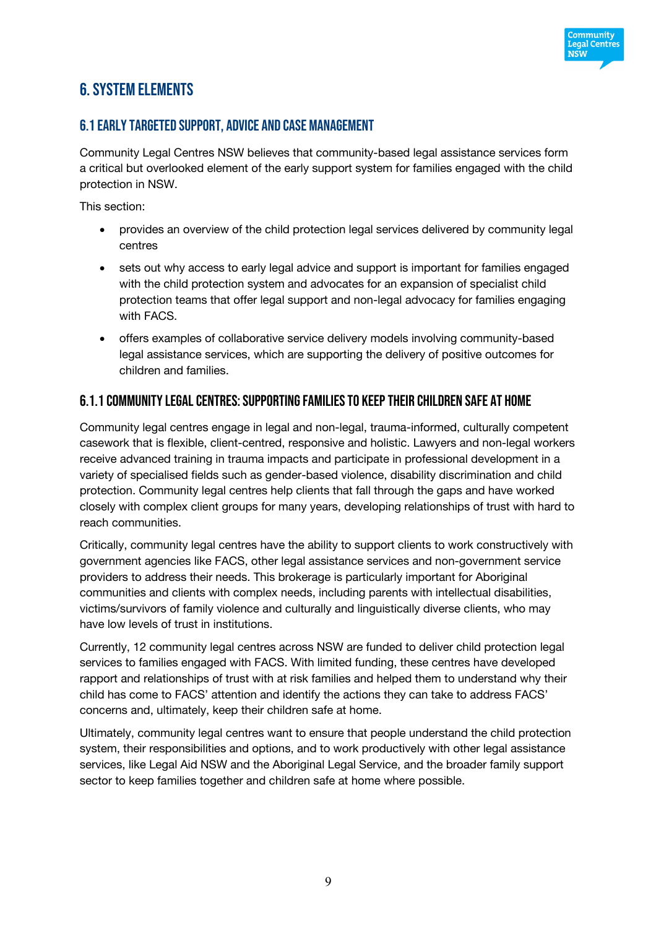

# 6. System elements

### 6.1 Early targeted support, advice and case management

Community Legal Centres NSW believes that community-based legal assistance services form a critical but overlooked element of the early support system for families engaged with the child protection in NSW.

This section:

- provides an overview of the child protection legal services delivered by community legal centres
- sets out why access to early legal advice and support is important for families engaged with the child protection system and advocates for an expansion of specialist child protection teams that offer legal support and non-legal advocacy for families engaging with FACS.
- offers examples of collaborative service delivery models involving community-based legal assistance services, which are supporting the delivery of positive outcomes for children and families.

## 6.1.1 Community legal centres: supporting families to keep their children safe at home

Community legal centres engage in legal and non-legal, trauma-informed, culturally competent casework that is flexible, client-centred, responsive and holistic. Lawyers and non-legal workers receive advanced training in trauma impacts and participate in professional development in a variety of specialised fields such as gender-based violence, disability discrimination and child protection. Community legal centres help clients that fall through the gaps and have worked closely with complex client groups for many years, developing relationships of trust with hard to reach communities.

Critically, community legal centres have the ability to support clients to work constructively with government agencies like FACS, other legal assistance services and non-government service providers to address their needs. This brokerage is particularly important for Aboriginal communities and clients with complex needs, including parents with intellectual disabilities, victims/survivors of family violence and culturally and linguistically diverse clients, who may have low levels of trust in institutions.

Currently, 12 community legal centres across NSW are funded to deliver child protection legal services to families engaged with FACS. With limited funding, these centres have developed rapport and relationships of trust with at risk families and helped them to understand why their child has come to FACS' attention and identify the actions they can take to address FACS' concerns and, ultimately, keep their children safe at home.

Ultimately, community legal centres want to ensure that people understand the child protection system, their responsibilities and options, and to work productively with other legal assistance services, like Legal Aid NSW and the Aboriginal Legal Service, and the broader family support sector to keep families together and children safe at home where possible.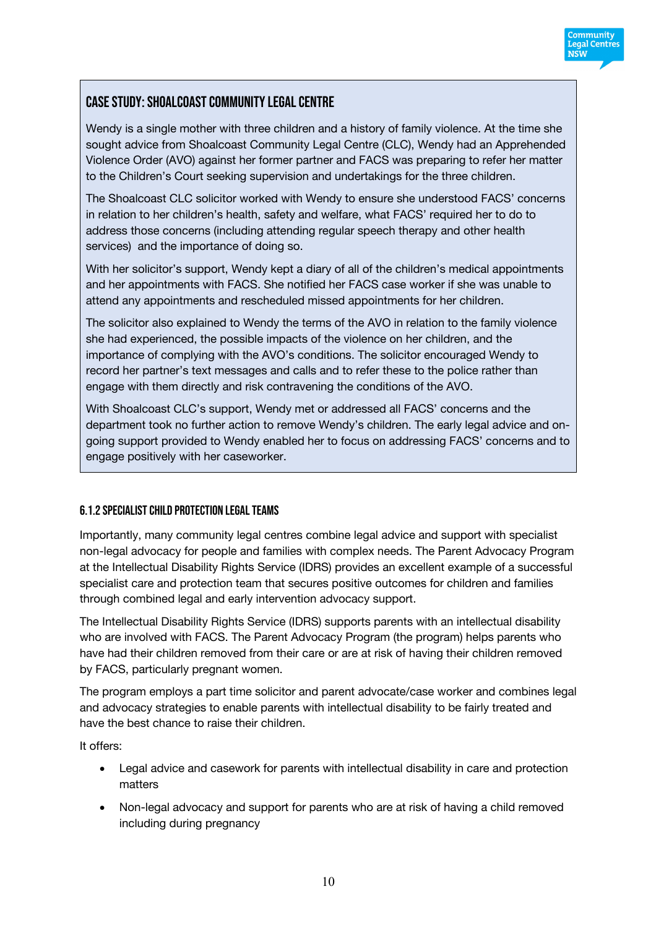

# Case Study: Shoalcoast Community Legal Centre

Wendy is a single mother with three children and a history of family violence. At the time she sought advice from Shoalcoast Community Legal Centre (CLC), Wendy had an Apprehended Violence Order (AVO) against her former partner and FACS was preparing to refer her matter to the Children's Court seeking supervision and undertakings for the three children.

The Shoalcoast CLC solicitor worked with Wendy to ensure she understood FACS' concerns in relation to her children's health, safety and welfare, what FACS' required her to do to address those concerns (including attending regular speech therapy and other health services) and the importance of doing so.

With her solicitor's support, Wendy kept a diary of all of the children's medical appointments and her appointments with FACS. She notified her FACS case worker if she was unable to attend any appointments and rescheduled missed appointments for her children.

The solicitor also explained to Wendy the terms of the AVO in relation to the family violence she had experienced, the possible impacts of the violence on her children, and the importance of complying with the AVO's conditions. The solicitor encouraged Wendy to record her partner's text messages and calls and to refer these to the police rather than engage with them directly and risk contravening the conditions of the AVO.

With Shoalcoast CLC's support, Wendy met or addressed all FACS' concerns and the department took no further action to remove Wendy's children. The early legal advice and ongoing support provided to Wendy enabled her to focus on addressing FACS' concerns and to engage positively with her caseworker.

#### 6.1.2 Specialist child protection legal teams

Importantly, many community legal centres combine legal advice and support with specialist non-legal advocacy for people and families with complex needs. The Parent Advocacy Program at the Intellectual Disability Rights Service (IDRS) provides an excellent example of a successful specialist care and protection team that secures positive outcomes for children and families through combined legal and early intervention advocacy support.

The Intellectual Disability Rights Service (IDRS) supports parents with an intellectual disability who are involved with FACS. The Parent Advocacy Program (the program) helps parents who have had their children removed from their care or are at risk of having their children removed by FACS, particularly pregnant women.

The program employs a part time solicitor and parent advocate/case worker and combines legal and advocacy strategies to enable parents with intellectual disability to be fairly treated and have the best chance to raise their children.

It offers:

- Legal advice and casework for parents with intellectual disability in care and protection matters
- Non-legal advocacy and support for parents who are at risk of having a child removed including during pregnancy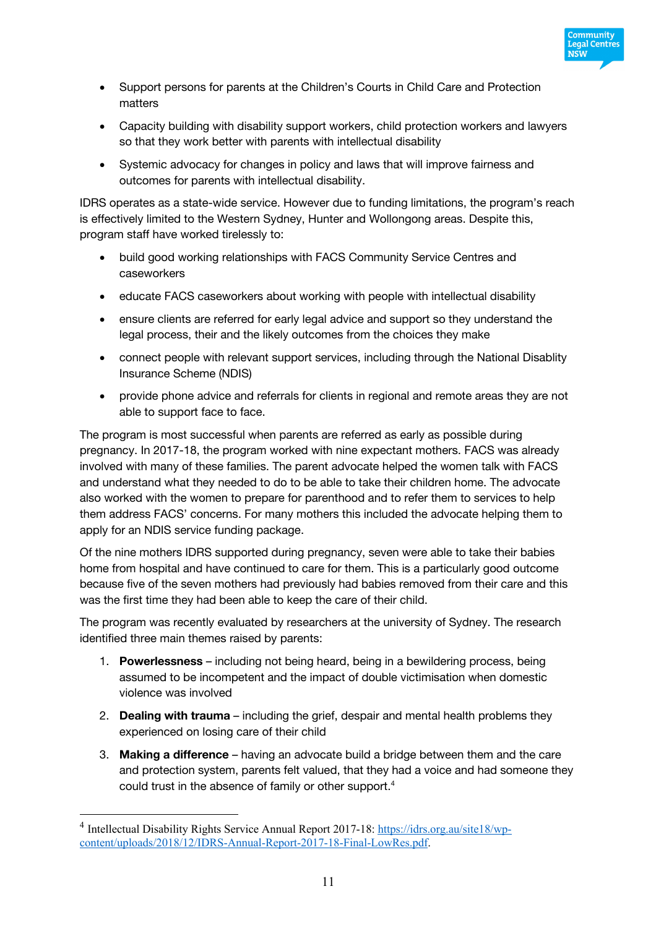

- Support persons for parents at the Children's Courts in Child Care and Protection matters
- Capacity building with disability support workers, child protection workers and lawyers so that they work better with parents with intellectual disability
- Systemic advocacy for changes in policy and laws that will improve fairness and outcomes for parents with intellectual disability.

IDRS operates as a state-wide service. However due to funding limitations, the program's reach is effectively limited to the Western Sydney, Hunter and Wollongong areas. Despite this, program staff have worked tirelessly to:

- build good working relationships with FACS Community Service Centres and caseworkers
- educate FACS caseworkers about working with people with intellectual disability
- ensure clients are referred for early legal advice and support so they understand the legal process, their and the likely outcomes from the choices they make
- connect people with relevant support services, including through the National Disablity Insurance Scheme (NDIS)
- provide phone advice and referrals for clients in regional and remote areas they are not able to support face to face.

The program is most successful when parents are referred as early as possible during pregnancy. In 2017-18, the program worked with nine expectant mothers. FACS was already involved with many of these families. The parent advocate helped the women talk with FACS and understand what they needed to do to be able to take their children home. The advocate also worked with the women to prepare for parenthood and to refer them to services to help them address FACS' concerns. For many mothers this included the advocate helping them to apply for an NDIS service funding package.

Of the nine mothers IDRS supported during pregnancy, seven were able to take their babies home from hospital and have continued to care for them. This is a particularly good outcome because five of the seven mothers had previously had babies removed from their care and this was the first time they had been able to keep the care of their child.

The program was recently evaluated by researchers at the university of Sydney. The research identified three main themes raised by parents:

- 1. **Powerlessness**  including not being heard, being in a bewildering process, being assumed to be incompetent and the impact of double victimisation when domestic violence was involved
- 2. **Dealing with trauma** including the grief, despair and mental health problems they experienced on losing care of their child
- 3. **Making a difference** having an advocate build a bridge between them and the care and protection system, parents felt valued, that they had a voice and had someone they could trust in the absence of family or other support.<sup>4</sup>

<sup>&</sup>lt;sup>4</sup> Intellectual Disability Rights Service Annual Report 2017-18: https://idrs.org.au/site18/wpcontent/uploads/2018/12/IDRS-Annual-Report-2017-18-Final-LowRes.pdf.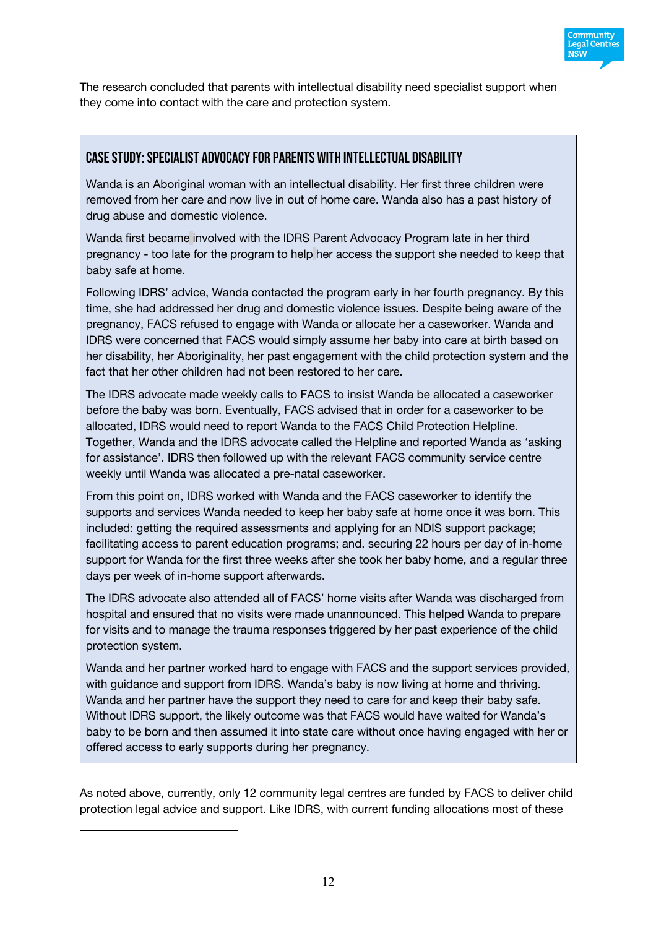

The research concluded that parents with intellectual disability need specialist support when they come into contact with the care and protection system.

### Case study: specialist advocacy for parents with intellectual disability

Wanda is an Aboriginal woman with an intellectual disability. Her first three children were removed from her care and now live in out of home care. Wanda also has a past history of drug abuse and domestic violence.

Wanda first became involved with the IDRS Parent Advocacy Program late in her third pregnancy - too late for the program to help her access the support she needed to keep that baby safe at home.

Following IDRS' advice, Wanda contacted the program early in her fourth pregnancy. By this time, she had addressed her drug and domestic violence issues. Despite being aware of the pregnancy, FACS refused to engage with Wanda or allocate her a caseworker. Wanda and IDRS were concerned that FACS would simply assume her baby into care at birth based on her disability, her Aboriginality, her past engagement with the child protection system and the fact that her other children had not been restored to her care.

The IDRS advocate made weekly calls to FACS to insist Wanda be allocated a caseworker before the baby was born. Eventually, FACS advised that in order for a caseworker to be allocated, IDRS would need to report Wanda to the FACS Child Protection Helpline. Together, Wanda and the IDRS advocate called the Helpline and reported Wanda as 'asking for assistance'. IDRS then followed up with the relevant FACS community service centre weekly until Wanda was allocated a pre-natal caseworker.

From this point on, IDRS worked with Wanda and the FACS caseworker to identify the supports and services Wanda needed to keep her baby safe at home once it was born. This included: getting the required assessments and applying for an NDIS support package; facilitating access to parent education programs; and. securing 22 hours per day of in-home support for Wanda for the first three weeks after she took her baby home, and a regular three days per week of in-home support afterwards.

The IDRS advocate also attended all of FACS' home visits after Wanda was discharged from hospital and ensured that no visits were made unannounced. This helped Wanda to prepare for visits and to manage the trauma responses triggered by her past experience of the child protection system.

Wanda and her partner worked hard to engage with FACS and the support services provided, with guidance and support from IDRS. Wanda's baby is now living at home and thriving. Wanda and her partner have the support they need to care for and keep their baby safe. Without IDRS support, the likely outcome was that FACS would have waited for Wanda's baby to be born and then assumed it into state care without once having engaged with her or offered access to early supports during her pregnancy.

As noted above, currently, only 12 community legal centres are funded by FACS to deliver child protection legal advice and support. Like IDRS, with current funding allocations most of these

 $\overline{a}$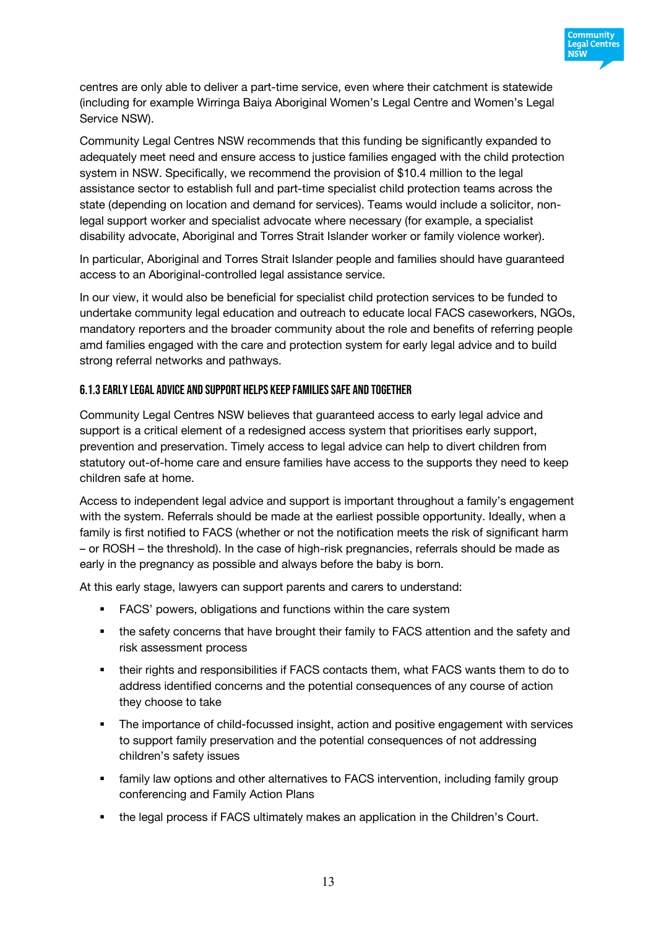

centres are only able to deliver a part-time service, even where their catchment is statewide (including for example Wirringa Baiya Aboriginal Women's Legal Centre and Women's Legal Service NSW).

Community Legal Centres NSW recommends that this funding be significantly expanded to adequately meet need and ensure access to justice families engaged with the child protection system in NSW. Specifically, we recommend the provision of \$10.4 million to the legal assistance sector to establish full and part-time specialist child protection teams across the state (depending on location and demand for services). Teams would include a solicitor, nonlegal support worker and specialist advocate where necessary (for example, a specialist disability advocate, Aboriginal and Torres Strait Islander worker or family violence worker).

In particular, Aboriginal and Torres Strait Islander people and families should have guaranteed access to an Aboriginal-controlled legal assistance service.

In our view, it would also be beneficial for specialist child protection services to be funded to undertake community legal education and outreach to educate local FACS caseworkers, NGOs, mandatory reporters and the broader community about the role and benefits of referring people amd families engaged with the care and protection system for early legal advice and to build strong referral networks and pathways.

#### 6.1.3 Early legal advice and support helps keep families safe and together

Community Legal Centres NSW believes that guaranteed access to early legal advice and support is a critical element of a redesigned access system that prioritises early support, prevention and preservation. Timely access to legal advice can help to divert children from statutory out-of-home care and ensure families have access to the supports they need to keep children safe at home.

Access to independent legal advice and support is important throughout a family's engagement with the system. Referrals should be made at the earliest possible opportunity. Ideally, when a family is first notified to FACS (whether or not the notification meets the risk of significant harm – or ROSH – the threshold). In the case of high-risk pregnancies, referrals should be made as early in the pregnancy as possible and always before the baby is born.

At this early stage, lawyers can support parents and carers to understand:

- FACS' powers, obligations and functions within the care system
- the safety concerns that have brought their family to FACS attention and the safety and risk assessment process
- their rights and responsibilities if FACS contacts them, what FACS wants them to do to address identified concerns and the potential consequences of any course of action they choose to take
- **The importance of child-focussed insight, action and positive engagement with services** to support family preservation and the potential consequences of not addressing children's safety issues
- family law options and other alternatives to FACS intervention, including family group conferencing and Family Action Plans
- § the legal process if FACS ultimately makes an application in the Children's Court.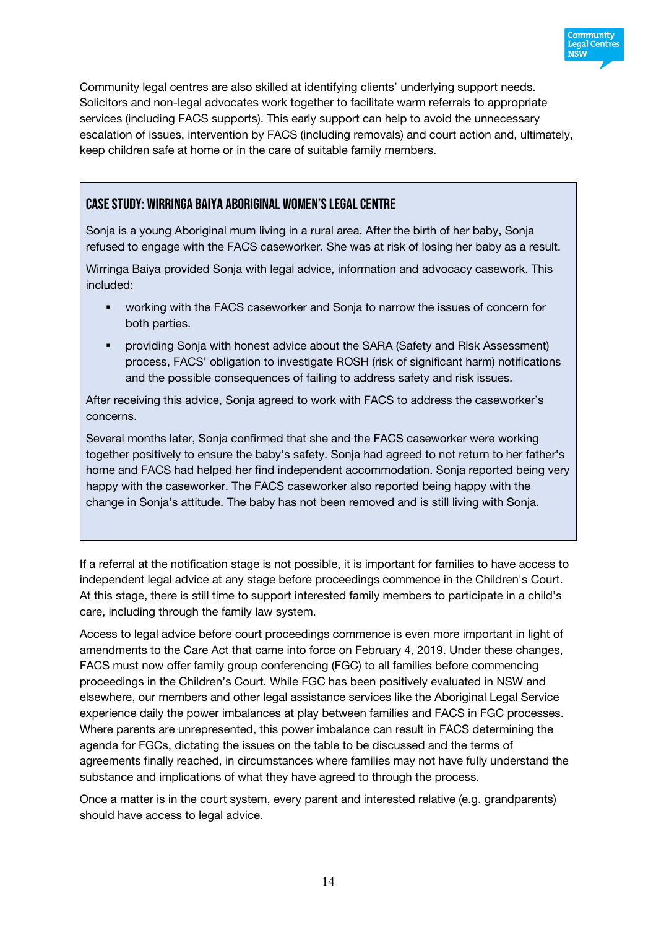

Community legal centres are also skilled at identifying clients' underlying support needs. Solicitors and non-legal advocates work together to facilitate warm referrals to appropriate services (including FACS supports). This early support can help to avoid the unnecessary escalation of issues, intervention by FACS (including removals) and court action and, ultimately, keep children safe at home or in the care of suitable family members.

## Case Study: Wirringa Baiya Aboriginal Women's Legal Centre

Sonja is a young Aboriginal mum living in a rural area. After the birth of her baby, Sonja refused to engage with the FACS caseworker. She was at risk of losing her baby as a result.

Wirringa Baiya provided Sonja with legal advice, information and advocacy casework. This included:

- working with the FACS caseworker and Sonja to narrow the issues of concern for both parties.
- § providing Sonja with honest advice about the SARA (Safety and Risk Assessment) process, FACS' obligation to investigate ROSH (risk of significant harm) notifications and the possible consequences of failing to address safety and risk issues.

After receiving this advice, Sonja agreed to work with FACS to address the caseworker's concerns.

Several months later, Sonja confirmed that she and the FACS caseworker were working together positively to ensure the baby's safety. Sonja had agreed to not return to her father's home and FACS had helped her find independent accommodation. Sonja reported being very happy with the caseworker. The FACS caseworker also reported being happy with the change in Sonja's attitude. The baby has not been removed and is still living with Sonja.

If a referral at the notification stage is not possible, it is important for families to have access to independent legal advice at any stage before proceedings commence in the Children's Court. At this stage, there is still time to support interested family members to participate in a child's care, including through the family law system.

Access to legal advice before court proceedings commence is even more important in light of amendments to the Care Act that came into force on February 4, 2019. Under these changes, FACS must now offer family group conferencing (FGC) to all families before commencing proceedings in the Children's Court. While FGC has been positively evaluated in NSW and elsewhere, our members and other legal assistance services like the Aboriginal Legal Service experience daily the power imbalances at play between families and FACS in FGC processes. Where parents are unrepresented, this power imbalance can result in FACS determining the agenda for FGCs, dictating the issues on the table to be discussed and the terms of agreements finally reached, in circumstances where families may not have fully understand the substance and implications of what they have agreed to through the process.

Once a matter is in the court system, every parent and interested relative (e.g. grandparents) should have access to legal advice.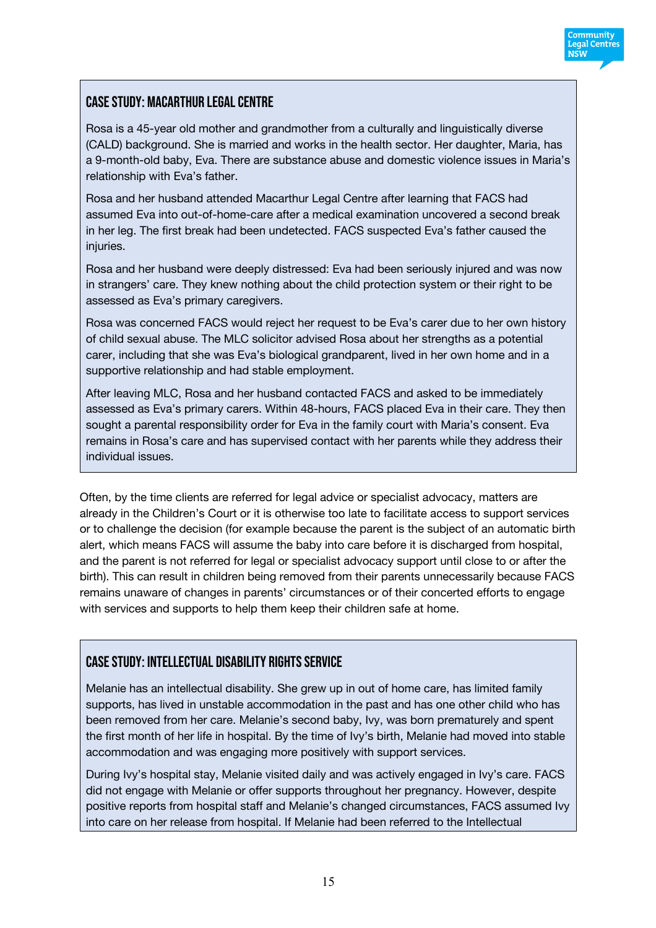

## Case Study: Macarthur Legal Centre

Rosa is a 45-year old mother and grandmother from a culturally and linguistically diverse (CALD) background. She is married and works in the health sector. Her daughter, Maria, has a 9-month-old baby, Eva. There are substance abuse and domestic violence issues in Maria's relationship with Eva's father.

Rosa and her husband attended Macarthur Legal Centre after learning that FACS had assumed Eva into out-of-home-care after a medical examination uncovered a second break in her leg. The first break had been undetected. FACS suspected Eva's father caused the injuries.

Rosa and her husband were deeply distressed: Eva had been seriously injured and was now in strangers' care. They knew nothing about the child protection system or their right to be assessed as Eva's primary caregivers.

Rosa was concerned FACS would reject her request to be Eva's carer due to her own history of child sexual abuse. The MLC solicitor advised Rosa about her strengths as a potential carer, including that she was Eva's biological grandparent, lived in her own home and in a supportive relationship and had stable employment.

After leaving MLC, Rosa and her husband contacted FACS and asked to be immediately assessed as Eva's primary carers. Within 48-hours, FACS placed Eva in their care. They then sought a parental responsibility order for Eva in the family court with Maria's consent. Eva remains in Rosa's care and has supervised contact with her parents while they address their individual issues.

Often, by the time clients are referred for legal advice or specialist advocacy, matters are already in the Children's Court or it is otherwise too late to facilitate access to support services or to challenge the decision (for example because the parent is the subject of an automatic birth alert, which means FACS will assume the baby into care before it is discharged from hospital, and the parent is not referred for legal or specialist advocacy support until close to or after the birth). This can result in children being removed from their parents unnecessarily because FACS remains unaware of changes in parents' circumstances or of their concerted efforts to engage with services and supports to help them keep their children safe at home.

## Case Study: Intellectual Disability Rights Service

Melanie has an intellectual disability. She grew up in out of home care, has limited family supports, has lived in unstable accommodation in the past and has one other child who has been removed from her care. Melanie's second baby, Ivy, was born prematurely and spent the first month of her life in hospital. By the time of Ivy's birth, Melanie had moved into stable accommodation and was engaging more positively with support services.

During Ivy's hospital stay, Melanie visited daily and was actively engaged in Ivy's care. FACS did not engage with Melanie or offer supports throughout her pregnancy. However, despite positive reports from hospital staff and Melanie's changed circumstances, FACS assumed Ivy into care on her release from hospital. If Melanie had been referred to the Intellectual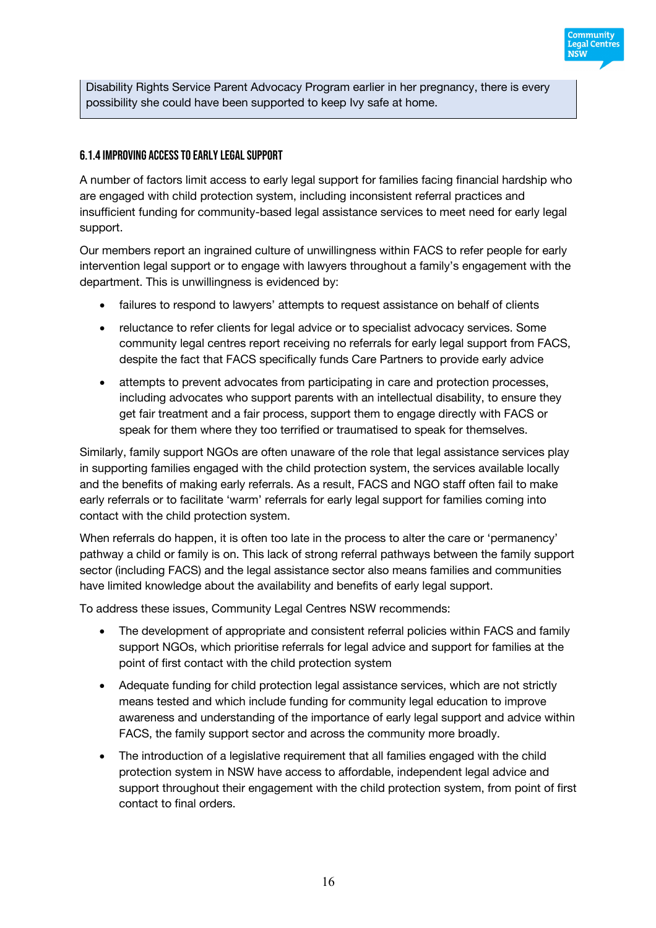

Community **Legal Centres NSW** 

#### 6.1.4 Improving access to early legal support

A number of factors limit access to early legal support for families facing financial hardship who are engaged with child protection system, including inconsistent referral practices and insufficient funding for community-based legal assistance services to meet need for early legal support.

Our members report an ingrained culture of unwillingness within FACS to refer people for early intervention legal support or to engage with lawyers throughout a family's engagement with the department. This is unwillingness is evidenced by:

- failures to respond to lawyers' attempts to request assistance on behalf of clients
- reluctance to refer clients for legal advice or to specialist advocacy services. Some community legal centres report receiving no referrals for early legal support from FACS, despite the fact that FACS specifically funds Care Partners to provide early advice
- attempts to prevent advocates from participating in care and protection processes, including advocates who support parents with an intellectual disability, to ensure they get fair treatment and a fair process, support them to engage directly with FACS or speak for them where they too terrified or traumatised to speak for themselves.

Similarly, family support NGOs are often unaware of the role that legal assistance services play in supporting families engaged with the child protection system, the services available locally and the benefits of making early referrals. As a result, FACS and NGO staff often fail to make early referrals or to facilitate 'warm' referrals for early legal support for families coming into contact with the child protection system.

When referrals do happen, it is often too late in the process to alter the care or 'permanency' pathway a child or family is on. This lack of strong referral pathways between the family support sector (including FACS) and the legal assistance sector also means families and communities have limited knowledge about the availability and benefits of early legal support.

To address these issues, Community Legal Centres NSW recommends:

- The development of appropriate and consistent referral policies within FACS and family support NGOs, which prioritise referrals for legal advice and support for families at the point of first contact with the child protection system
- Adequate funding for child protection legal assistance services, which are not strictly means tested and which include funding for community legal education to improve awareness and understanding of the importance of early legal support and advice within FACS, the family support sector and across the community more broadly.
- The introduction of a legislative requirement that all families engaged with the child protection system in NSW have access to affordable, independent legal advice and support throughout their engagement with the child protection system, from point of first contact to final orders.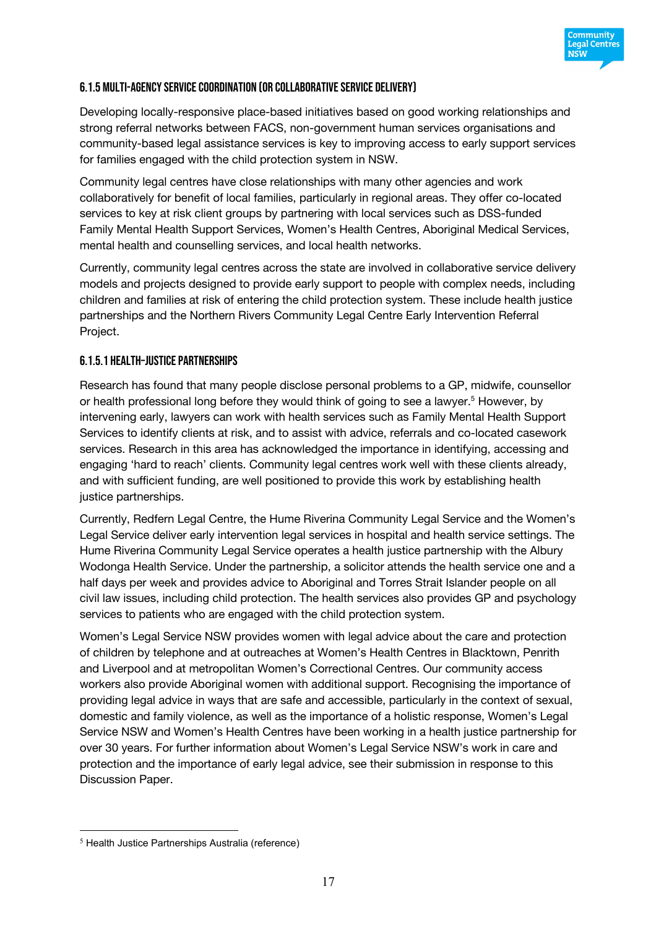

#### 6.1.5 Multi-agency service coordination (or collaborative service delivery)

Developing locally-responsive place-based initiatives based on good working relationships and strong referral networks between FACS, non-government human services organisations and community-based legal assistance services is key to improving access to early support services for families engaged with the child protection system in NSW.

Community legal centres have close relationships with many other agencies and work collaboratively for benefit of local families, particularly in regional areas. They offer co-located services to key at risk client groups by partnering with local services such as DSS-funded Family Mental Health Support Services, Women's Health Centres, Aboriginal Medical Services, mental health and counselling services, and local health networks.

Currently, community legal centres across the state are involved in collaborative service delivery models and projects designed to provide early support to people with complex needs, including children and families at risk of entering the child protection system. These include health justice partnerships and the Northern Rivers Community Legal Centre Early Intervention Referral Project.

#### 6.1.5.1 Health–Justice Partnerships

Research has found that many people disclose personal problems to a GP, midwife, counsellor or health professional long before they would think of going to see a lawyer.<sup>5</sup> However, by intervening early, lawyers can work with health services such as Family Mental Health Support Services to identify clients at risk, and to assist with advice, referrals and co-located casework services. Research in this area has acknowledged the importance in identifying, accessing and engaging 'hard to reach' clients. Community legal centres work well with these clients already, and with sufficient funding, are well positioned to provide this work by establishing health justice partnerships.

Currently, Redfern Legal Centre, the Hume Riverina Community Legal Service and the Women's Legal Service deliver early intervention legal services in hospital and health service settings. The Hume Riverina Community Legal Service operates a health justice partnership with the Albury Wodonga Health Service. Under the partnership, a solicitor attends the health service one and a half days per week and provides advice to Aboriginal and Torres Strait Islander people on all civil law issues, including child protection. The health services also provides GP and psychology services to patients who are engaged with the child protection system.

Women's Legal Service NSW provides women with legal advice about the care and protection of children by telephone and at outreaches at Women's Health Centres in Blacktown, Penrith and Liverpool and at metropolitan Women's Correctional Centres. Our community access workers also provide Aboriginal women with additional support. Recognising the importance of providing legal advice in ways that are safe and accessible, particularly in the context of sexual, domestic and family violence, as well as the importance of a holistic response, Women's Legal Service NSW and Women's Health Centres have been working in a health justice partnership for over 30 years. For further information about Women's Legal Service NSW's work in care and protection and the importance of early legal advice, see their submission in response to this Discussion Paper.

 <sup>5</sup> Health Justice Partnerships Australia (reference)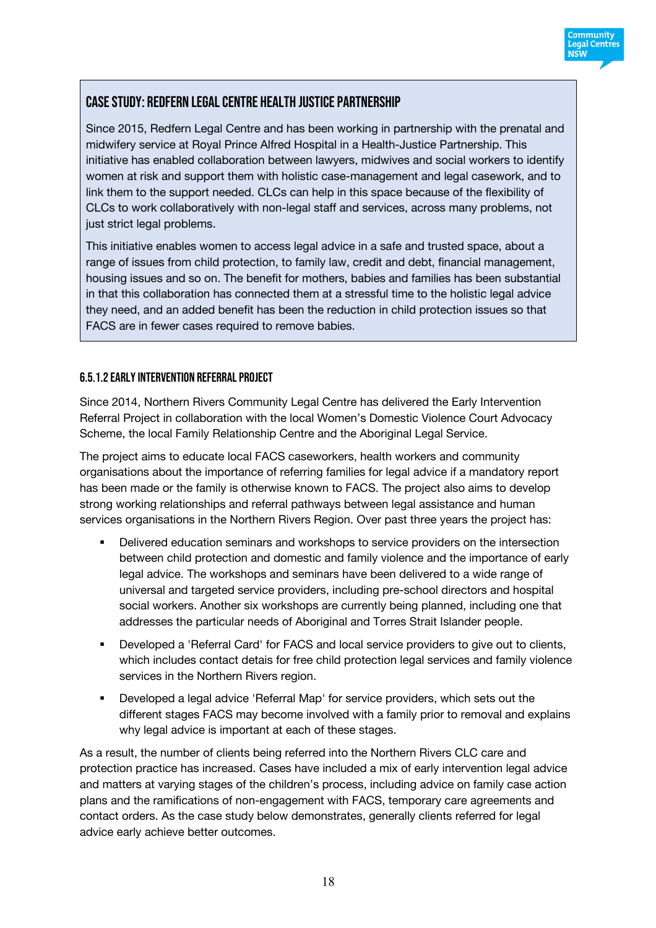

# Case Study: Redfern Legal Centre Health Justice Partnership

Since 2015, Redfern Legal Centre and has been working in partnership with the prenatal and midwifery service at Royal Prince Alfred Hospital in a Health-Justice Partnership. This initiative has enabled collaboration between lawyers, midwives and social workers to identify women at risk and support them with holistic case-management and legal casework, and to link them to the support needed. CLCs can help in this space because of the flexibility of CLCs to work collaboratively with non-legal staff and services, across many problems, not just strict legal problems.

This initiative enables women to access legal advice in a safe and trusted space, about a range of issues from child protection, to family law, credit and debt, financial management, housing issues and so on. The benefit for mothers, babies and families has been substantial in that this collaboration has connected them at a stressful time to the holistic legal advice they need, and an added benefit has been the reduction in child protection issues so that FACS are in fewer cases required to remove babies.

#### 6.5.1.2 Early Intervention Referral Project

Since 2014, Northern Rivers Community Legal Centre has delivered the Early Intervention Referral Project in collaboration with the local Women's Domestic Violence Court Advocacy Scheme, the local Family Relationship Centre and the Aboriginal Legal Service.

The project aims to educate local FACS caseworkers, health workers and community organisations about the importance of referring families for legal advice if a mandatory report has been made or the family is otherwise known to FACS. The project also aims to develop strong working relationships and referral pathways between legal assistance and human services organisations in the Northern Rivers Region. Over past three years the project has:

- Delivered education seminars and workshops to service providers on the intersection between child protection and domestic and family violence and the importance of early legal advice. The workshops and seminars have been delivered to a wide range of universal and targeted service providers, including pre-school directors and hospital social workers. Another six workshops are currently being planned, including one that addresses the particular needs of Aboriginal and Torres Strait Islander people.
- Developed a 'Referral Card' for FACS and local service providers to give out to clients, which includes contact detais for free child protection legal services and family violence services in the Northern Rivers region.
- § Developed a legal advice 'Referral Map' for service providers, which sets out the different stages FACS may become involved with a family prior to removal and explains why legal advice is important at each of these stages.

As a result, the number of clients being referred into the Northern Rivers CLC care and protection practice has increased. Cases have included a mix of early intervention legal advice and matters at varying stages of the children's process, including advice on family case action plans and the ramifications of non-engagement with FACS, temporary care agreements and contact orders. As the case study below demonstrates, generally clients referred for legal advice early achieve better outcomes.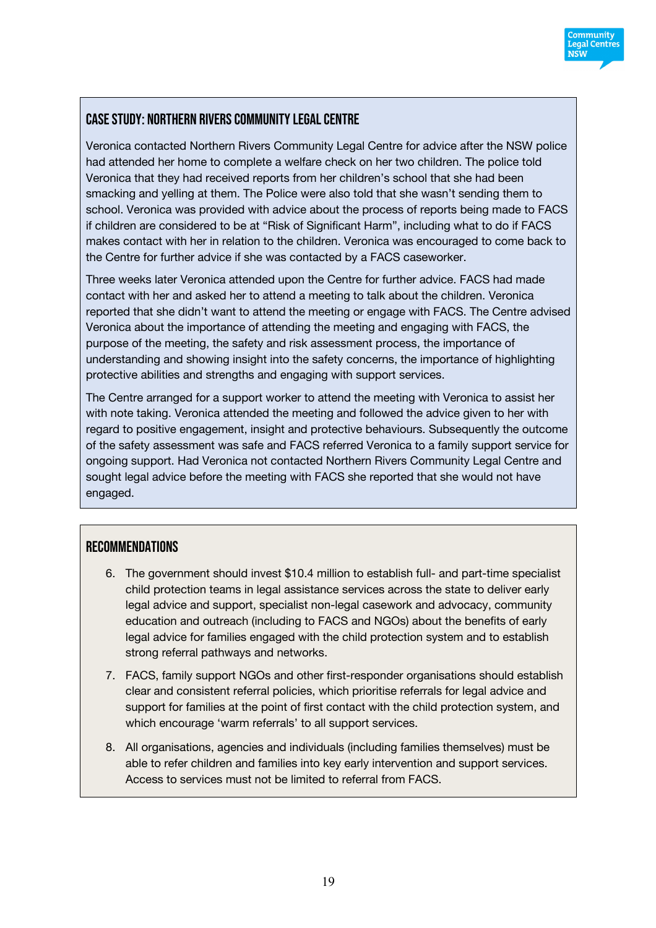

## Case Study: Northern Rivers Community Legal Centre

Veronica contacted Northern Rivers Community Legal Centre for advice after the NSW police had attended her home to complete a welfare check on her two children. The police told Veronica that they had received reports from her children's school that she had been smacking and yelling at them. The Police were also told that she wasn't sending them to school. Veronica was provided with advice about the process of reports being made to FACS if children are considered to be at "Risk of Significant Harm", including what to do if FACS makes contact with her in relation to the children. Veronica was encouraged to come back to the Centre for further advice if she was contacted by a FACS caseworker.

Three weeks later Veronica attended upon the Centre for further advice. FACS had made contact with her and asked her to attend a meeting to talk about the children. Veronica reported that she didn't want to attend the meeting or engage with FACS. The Centre advised Veronica about the importance of attending the meeting and engaging with FACS, the purpose of the meeting, the safety and risk assessment process, the importance of understanding and showing insight into the safety concerns, the importance of highlighting protective abilities and strengths and engaging with support services.

The Centre arranged for a support worker to attend the meeting with Veronica to assist her with note taking. Veronica attended the meeting and followed the advice given to her with regard to positive engagement, insight and protective behaviours. Subsequently the outcome of the safety assessment was safe and FACS referred Veronica to a family support service for ongoing support. Had Veronica not contacted Northern Rivers Community Legal Centre and sought legal advice before the meeting with FACS she reported that she would not have engaged.

# Recommendations

- 6. The government should invest \$10.4 million to establish full- and part-time specialist child protection teams in legal assistance services across the state to deliver early legal advice and support, specialist non-legal casework and advocacy, community education and outreach (including to FACS and NGOs) about the benefits of early legal advice for families engaged with the child protection system and to establish strong referral pathways and networks.
- 7. FACS, family support NGOs and other first-responder organisations should establish clear and consistent referral policies, which prioritise referrals for legal advice and support for families at the point of first contact with the child protection system, and which encourage 'warm referrals' to all support services.
- 8. All organisations, agencies and individuals (including families themselves) must be able to refer children and families into key early intervention and support services. Access to services must not be limited to referral from FACS.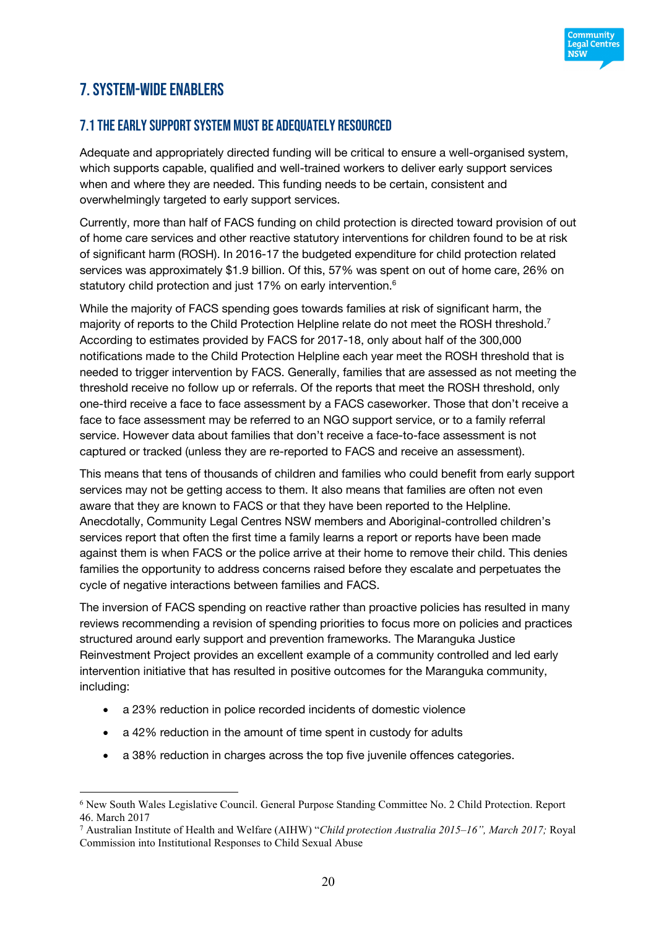

# 7. SYSTEM-WIDE ENABLERS

## 7.1 The early support system must be adequately resourced

Adequate and appropriately directed funding will be critical to ensure a well-organised system, which supports capable, qualified and well-trained workers to deliver early support services when and where they are needed. This funding needs to be certain, consistent and overwhelmingly targeted to early support services.

Currently, more than half of FACS funding on child protection is directed toward provision of out of home care services and other reactive statutory interventions for children found to be at risk of significant harm (ROSH). In 2016-17 the budgeted expenditure for child protection related services was approximately \$1.9 billion. Of this, 57% was spent on out of home care, 26% on statutory child protection and just 17% on early intervention.<sup>6</sup>

While the majority of FACS spending goes towards families at risk of significant harm, the majority of reports to the Child Protection Helpline relate do not meet the ROSH threshold.<sup>7</sup> According to estimates provided by FACS for 2017-18, only about half of the 300,000 notifications made to the Child Protection Helpline each year meet the ROSH threshold that is needed to trigger intervention by FACS. Generally, families that are assessed as not meeting the threshold receive no follow up or referrals. Of the reports that meet the ROSH threshold, only one-third receive a face to face assessment by a FACS caseworker. Those that don't receive a face to face assessment may be referred to an NGO support service, or to a family referral service. However data about families that don't receive a face-to-face assessment is not captured or tracked (unless they are re-reported to FACS and receive an assessment).

This means that tens of thousands of children and families who could benefit from early support services may not be getting access to them. It also means that families are often not even aware that they are known to FACS or that they have been reported to the Helpline. Anecdotally, Community Legal Centres NSW members and Aboriginal-controlled children's services report that often the first time a family learns a report or reports have been made against them is when FACS or the police arrive at their home to remove their child. This denies families the opportunity to address concerns raised before they escalate and perpetuates the cycle of negative interactions between families and FACS.

The inversion of FACS spending on reactive rather than proactive policies has resulted in many reviews recommending a revision of spending priorities to focus more on policies and practices structured around early support and prevention frameworks. The Maranguka Justice Reinvestment Project provides an excellent example of a community controlled and led early intervention initiative that has resulted in positive outcomes for the Maranguka community, including:

- a 23% reduction in police recorded incidents of domestic violence
- a 42% reduction in the amount of time spent in custody for adults
- a 38% reduction in charges across the top five juvenile offences categories.

 <sup>6</sup> New South Wales Legislative Council. General Purpose Standing Committee No. 2 Child Protection. Report 46. March 2017

<sup>7</sup> Australian Institute of Health and Welfare (AIHW) "*Child protection Australia 2015–16", March 2017;* Royal Commission into Institutional Responses to Child Sexual Abuse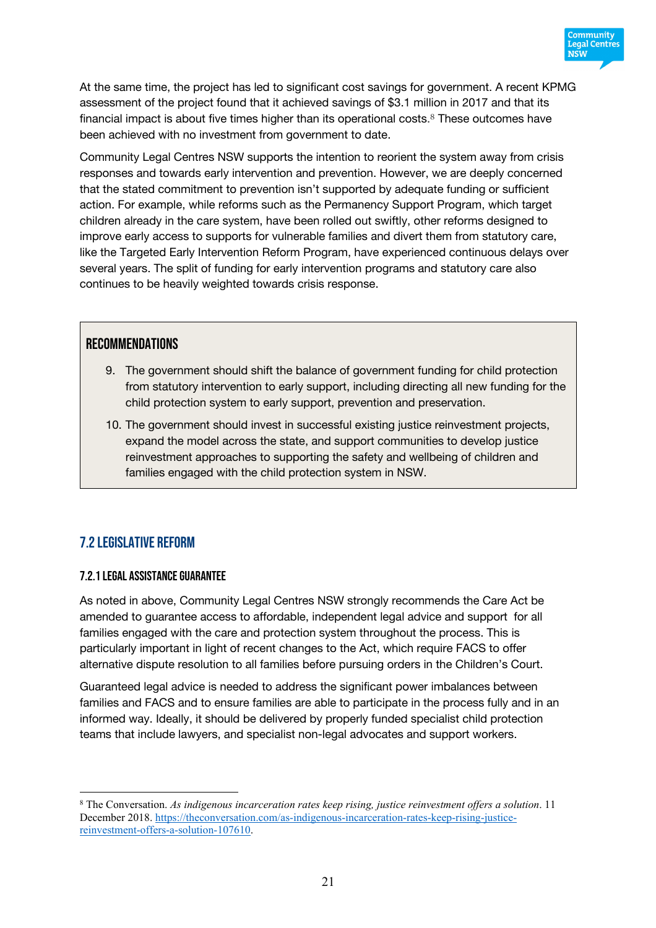

At the same time, the project has led to significant cost savings for government. A recent KPMG assessment of the project found that it achieved savings of \$3.1 million in 2017 and that its financial impact is about five times higher than its operational costs. <sup>8</sup> These outcomes have been achieved with no investment from government to date.

Community Legal Centres NSW supports the intention to reorient the system away from crisis responses and towards early intervention and prevention. However, we are deeply concerned that the stated commitment to prevention isn't supported by adequate funding or sufficient action. For example, while reforms such as the Permanency Support Program, which target children already in the care system, have been rolled out swiftly, other reforms designed to improve early access to supports for vulnerable families and divert them from statutory care, like the Targeted Early Intervention Reform Program, have experienced continuous delays over several years. The split of funding for early intervention programs and statutory care also continues to be heavily weighted towards crisis response.

#### **RECOMMENDATIONS**

- 9. The government should shift the balance of government funding for child protection from statutory intervention to early support, including directing all new funding for the child protection system to early support, prevention and preservation.
- 10. The government should invest in successful existing justice reinvestment projects, expand the model across the state, and support communities to develop justice reinvestment approaches to supporting the safety and wellbeing of children and families engaged with the child protection system in NSW.

## 7.2 Legislative reform

#### 7.2.1 Legal assistance guarantee

As noted in above, Community Legal Centres NSW strongly recommends the Care Act be amended to guarantee access to affordable, independent legal advice and support for all families engaged with the care and protection system throughout the process. This is particularly important in light of recent changes to the Act, which require FACS to offer alternative dispute resolution to all families before pursuing orders in the Children's Court.

Guaranteed legal advice is needed to address the significant power imbalances between families and FACS and to ensure families are able to participate in the process fully and in an informed way. Ideally, it should be delivered by properly funded specialist child protection teams that include lawyers, and specialist non-legal advocates and support workers.

 <sup>8</sup> The Conversation. *As indigenous incarceration rates keep rising, justice reinvestment offers a solution*. 11 December 2018. https://theconversation.com/as-indigenous-incarceration-rates-keep-rising-justicereinvestment-offers-a-solution-107610.